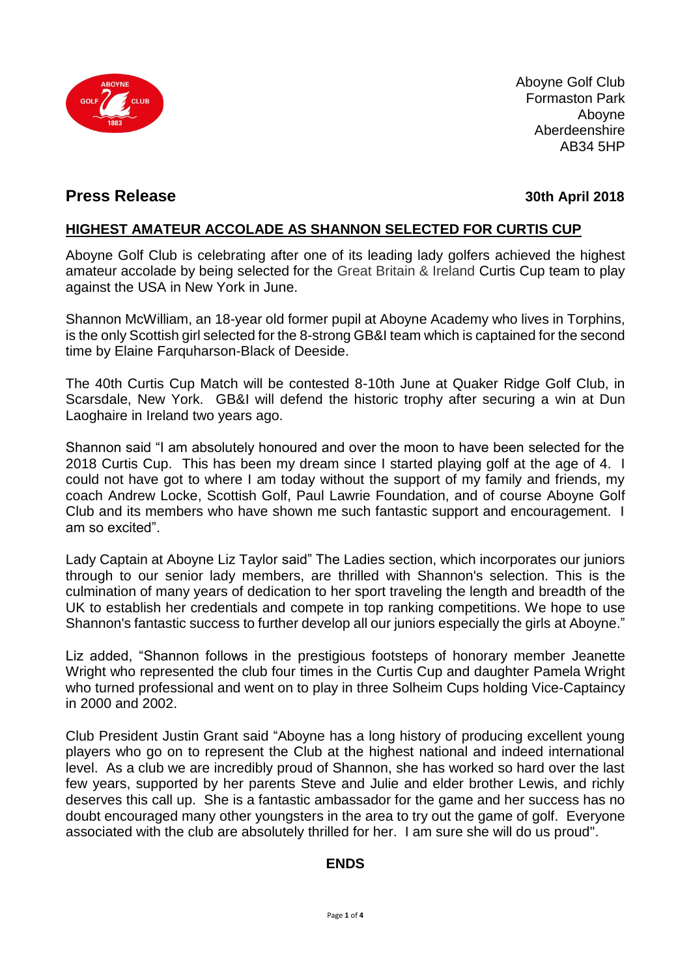

Aboyne Golf Club Formaston Park Aboyne Aberdeenshire AB34 5HP

### **Press Release 30th April 2018**

### **HIGHEST AMATEUR ACCOLADE AS SHANNON SELECTED FOR CURTIS CUP**

Aboyne Golf Club is celebrating after one of its leading lady golfers achieved the highest amateur accolade by being selected for the Great Britain & Ireland Curtis Cup team to play against the USA in New York in June.

Shannon McWilliam, an 18-year old former pupil at Aboyne Academy who lives in Torphins, is the only Scottish girl selected for the 8-strong GB&I team which is captained for the second time by Elaine Farquharson-Black of Deeside.

The 40th Curtis Cup Match will be contested 8-10th June at Quaker Ridge Golf Club, in Scarsdale, New York. GB&I will defend the historic trophy after securing a win at Dun Laoghaire in Ireland two years ago.

Shannon said "I am absolutely honoured and over the moon to have been selected for the 2018 Curtis Cup. This has been my dream since I started playing golf at the age of 4. I could not have got to where I am today without the support of my family and friends, my coach Andrew Locke, Scottish Golf, Paul Lawrie Foundation, and of course Aboyne Golf Club and its members who have shown me such fantastic support and encouragement. I [am so excited".](https://twitter.com/ShazzMcWilliam)

Lady Captain at Aboyne Liz Taylor said" The Ladies section, which incorporates our juniors through to our senior lady members, are thrilled with Shannon's selection. This is the culmination of many years of dedication to her sport traveling the length and breadth of the UK to establish her credentials and compete in top ranking competitions. We hope to use Shannon's fantastic success to further develop all our juniors especially the girls at Aboyne."

Liz added, "Shannon follows in the prestigious footsteps of honorary member Jeanette Wright who represented the club four times in the Curtis Cup and daughter Pamela Wright who turned professional and went on to play in three Solheim Cups holding Vice-Captaincy in 2000 and 2002.

Club President Justin Grant said "Aboyne has a long history of producing excellent young players who go on to represent the Club at the highest national and indeed international level. As a club we are incredibly proud of Shannon, she has worked so hard over the last few years, supported by her parents Steve and Julie and elder brother Lewis, and richly deserves this call up. She is a fantastic ambassador for the game and her success has no doubt encouraged many other youngsters in the area to try out the game of golf. Everyone associated with the club are absolutely thrilled for her. I am sure she will do us proud".

### **ENDS**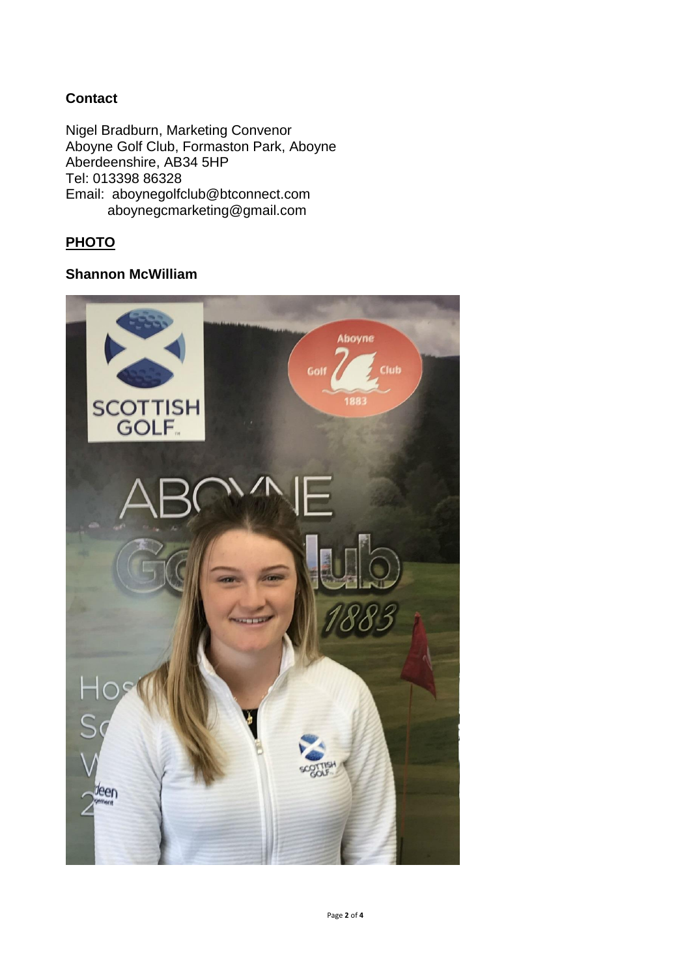### **Contact**

Nigel Bradburn, Marketing Convenor Aboyne Golf Club, Formaston Park, Aboyne Aberdeenshire, AB34 5HP Tel: 013398 86328 Email: aboynegolfclub@btconnect.com aboynegcmarketing@gmail.com

## **PHOTO**

#### **Shannon McWilliam**

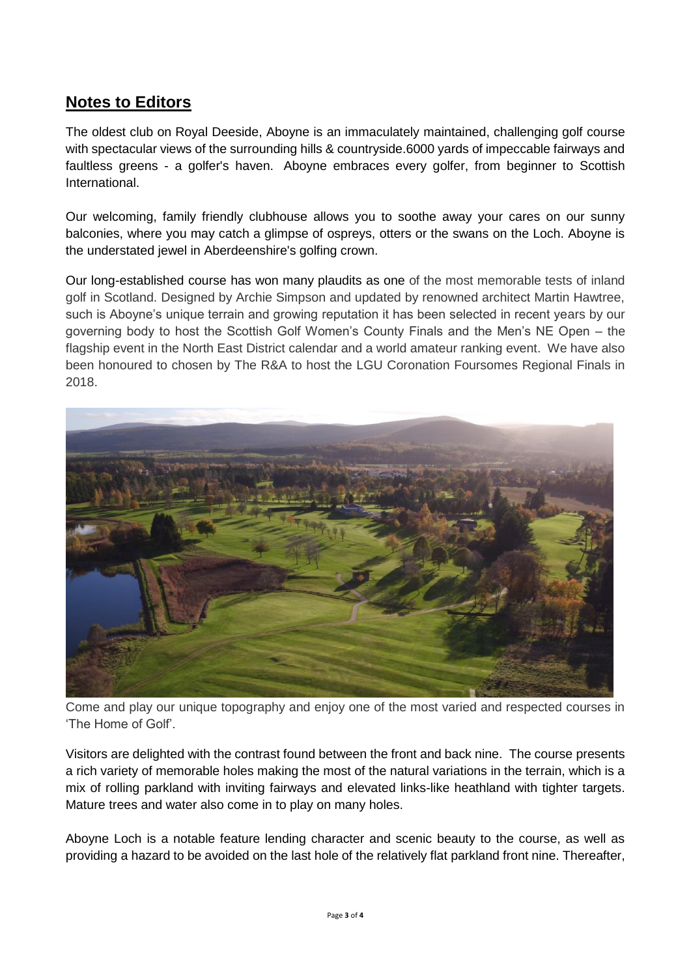# **Notes to Editors**

The oldest club on Royal Deeside, Aboyne is an immaculately maintained, challenging golf course with spectacular views of the surrounding hills & countryside.6000 yards of impeccable fairways and faultless greens - a golfer's haven. Aboyne embraces every golfer, from beginner to Scottish International.

Our welcoming, family friendly clubhouse allows you to soothe away your cares on our sunny balconies, where you may catch a glimpse of ospreys, otters or the swans on the Loch. Aboyne is the understated jewel in Aberdeenshire's golfing crown.

Our long-established course has won many plaudits as one of the most memorable tests of inland golf in Scotland. Designed by Archie Simpson and updated by renowned architect Martin Hawtree, such is Aboyne's unique terrain and growing reputation it has been selected in recent years by our governing body to host the Scottish Golf Women's County Finals and the Men's NE Open – the flagship event in the North East District calendar and a world amateur ranking event. We have also been honoured to chosen by The R&A to host the LGU Coronation Foursomes Regional Finals in 2018.



Come and play our unique topography and enjoy one of the most varied and respected courses in 'The Home of Golf'.

Visitors are delighted with the contrast found between the front and back nine. The course presents a rich variety of memorable holes making the most of the natural variations in the terrain, which is a mix of rolling parkland with inviting fairways and elevated links-like heathland with tighter targets. Mature trees and water also come in to play on many holes.

Aboyne Loch is a notable feature lending character and scenic beauty to the course, as well as providing a hazard to be avoided on the last hole of the relatively flat parkland front nine. Thereafter,